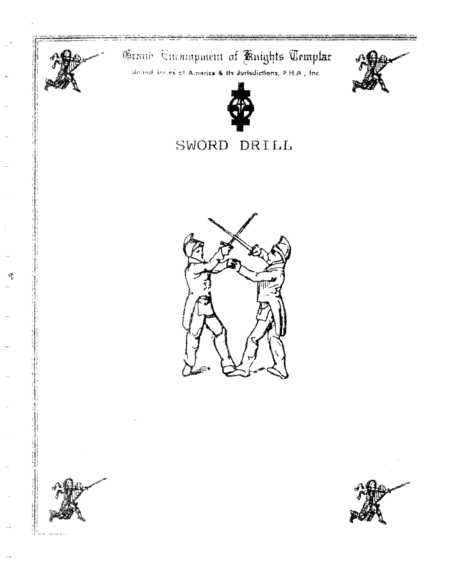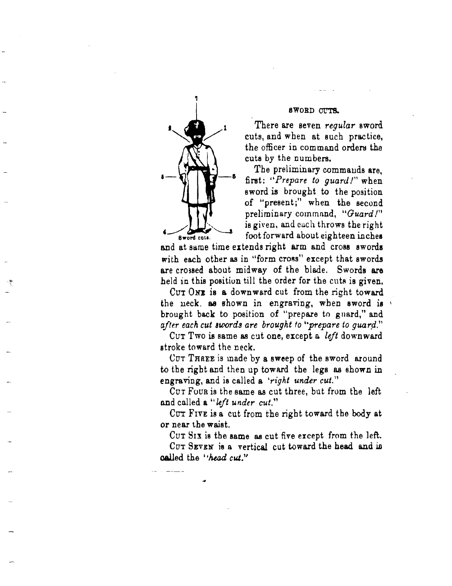

SWORD 0t"TS.

There are seven *regular* sword. cuts, and when at such practice, the officer in command orders the cuts by the numbers.

The preliminary commands are, first: "*Prepare to guard!*" when sword is brought to the position of "present;" when the second preliminary command, "Guard!" is given, and each throws the right Sword cuts. foot forward about eighteen inches

and at same time extends right arm and cross swords with each other as in "form cross" except that swords are crossed about  $mid$   $mid$   $wr$  of the blade. Swords are held in this position till the order for the cuts is given.

CUT ONE is a downward cut from the right toward the neck. as shown in engraving, when sword is brought back to position of "prepare to guard," and *ufter each cut 'words are brought to "prepare to quard?* 

CUT Two is same as cut one, except a *left* downward stroke toward the neck.

CUT THREE is made by a sweep of the sword around to the right and then up toward the legs as shown in engraving, and is called a *'right under cut.*"

CUT FOUR is the same as cut three, but from the left and called a *"left under cut."* 

CUT FIVE is a cut from the right toward the body at or near the waist.

CUT SIX is the asme as cut five except from the left.  $CUT$  SEVEN is a vertical cut toward the head and in aalled the I 'head *cut."*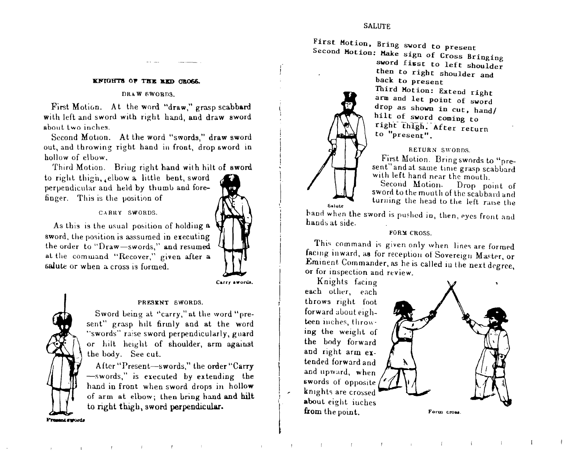### **SALUTE**

First Motion. Bring sword to present Second Motion: Hake sign of Cross Bringing

sword first to left shoulder then to right shoulder and back to present Third Motion: Extend right arm and let point of sword drop as shown in cut, hand/ hilt of sword coming to right thigh. After return to "present".

### RETURN SWONDS.

First Motion. Bring swords to "present" and at same time grasp scabbard with left hand near the mouth.<br>Second Motion. Drop no

Drop point of sword to the mouth of the scabbard and turning the head to the left raise the

hand when the sword is pushed in, then, eyes front and hands at side.

### FORM CROSS.

This command is given only when lines are formed facing inward, as for reception of Sovereign Master, or Eminent Commander, as he is called in the next degree, or for inspection and review.

) Knights facing each other, each | each other, each<br>| throws right foot forward about eighteen inches, throwing the weight of the body forward and right arm extended forward and<br>and upward, when swords of opposite<br>knights are crossed about eight iuches from the point. Form crow

 $\mathbf{f}$ 



#### KFIGHTS OF THE RED GROSS.

### DRAW SWORDS.

First Motion. At the word "draw," grasp scabbard with left and sword with right hand, and draw sword about two inches.

Second Motion. At the word "swords," draw sword out, and throwing right hand in front, drop sword in hollow of elbow.

Third Motion. Briug right hand with hilt of sword

to right thigh,  $_{4}$ elbow a little bent, sword perpendicular and held by thumb and forefinger. This is the position of

### CARllY SWORDS.

As this is the usual position of holdiug a aword, the position is asssumed in executing the order to "Draw-swords," and resumed. at the command "Recover," given after a salute or when a cross is furmed.



'l

### PRESENT 6WORDS.

Sword being at "carry," at Lhe word "present" grasp hilt firmly and at the word "swords" raise sword perpendicularly, guard or hill height of shoulder, arm ugainst the body. See cut.

After "Present-swords," the order "Carry -swords," is executed by extending the hand in front when sword drops in hollow of arm at elbow; then bring hand and hilt to right thigh, sword perpendicular.

Present swords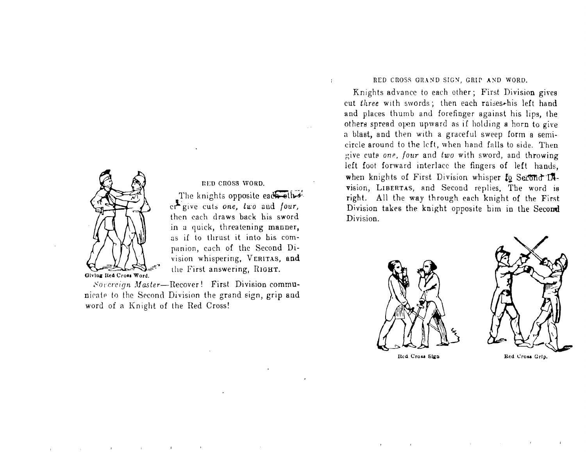

RED CROSS WORD. The knights opposite each other er give cuts one, two and four, then each draws back his sword in a quick, threatening manner, as if to thrust it into his companion, each of the Second Division whispering, VERITAS, and the First answering, RIGHT.

Sovereign Master-Recover! First Division communicate to the Second Division the grand sign, grip and word of a Knight of the Red Cross!

### RED CROSS GRAND SIGN, GRIP AND WORD.

÷

Knights advance to each other; First Division gives cut three with swords; then each raises-his left hand and places thumb and forefinger against his lips, the others spread open upward as if holding a horn to give a blast, and then with a graceful sweep form a semicircle around to the left, when hand falls to side. Then give cuts one, four and two with sword, and throwing left foot forward interlace the fingers of left hands, when knights of First Division whisper to Second D4vision, LIBERTAS, and Second replies. The word is right. All the way through each knight of the First Division takes the knight opposite him in the Second Division.



Red Cross Sign



Red Cross Grip.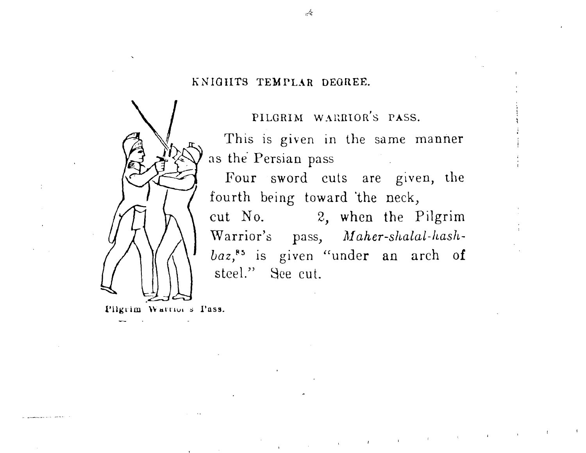# KNIGHTS TEMPLAR DEGREE.



PILGRIM WARRIOR'S PASS.

This is given in the same manner as the Persian pass

Four sword cuts are given, the fourth being toward the neck, cut No. 2, when the Pilgrim Warrior's pass, *AIalcer-shalal-liaslibaz*,<sup>85</sup> is given "under an arch of steel." See cut.

 $\mathcal{L}_{\rm{max}}$  , and the set of the set of the set of the set of the set of the set of the set of the set of the set of the set of the set of the set of the set of the set of the set of the set of the set of the set of the

Pilgrim Warrior's Pass.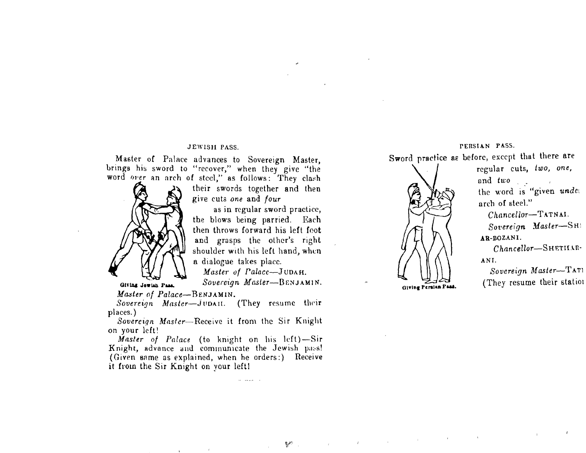### **JEWISH PASS.**

Master of Palace advances to Sovereign Master, brings his sword to "recover," when they give "the word over an arch of steel," as follows: They clash



Giving Jawish Pass.

their swords together and then give cuts one and four

as in regular sword practice, the blows being parried. Each then throws forward his left foot and grasps the other's right shoulder with his left hand, when a dialogue takes place.

Master of Palace-JUDAH.

Sovereign Master-BENJAMIN.

Master of Palace-BENJAMIN.

Sovereign Master-JUDAII. (They resume their places.)

Sovereign Master-Receive it from the Sir Knight on your left!

Master of Palace (to knight on his left)-Sir Knight, advance and communicate the Jewish pass! (Given same as explained, when he orders:) Receive it from the Sir Knight on your left!

### PERSIAN PASS.

Sword practice as before, except that there are



 $\label{eq:2.1} \mathcal{L}_{\mathcal{A}}(\mathcal{A})=\mathcal{L}_{\mathcal{A}}(\mathcal{A})=\mathcal{L}_{\mathcal{A}}(\mathcal{A})=\mathcal{L}_{\mathcal{A}}(\mathcal{A})=\mathcal{L}_{\mathcal{A}}(\mathcal{A})=\mathcal{L}_{\mathcal{A}}(\mathcal{A})=\mathcal{L}_{\mathcal{A}}(\mathcal{A})=\mathcal{L}_{\mathcal{A}}(\mathcal{A})=\mathcal{L}_{\mathcal{A}}(\mathcal{A})=\mathcal{L}_{\mathcal{A}}(\mathcal{A})=\mathcal{L}_{\mathcal{A}}(\mathcal{A})=\mathcal{L}_{\mathcal{A}}(\$ 

regular cuts, two, one, and two the word is "given under arch of steel."

Chancellor-TATNAI. Sovereign Master-SHI AR-BOZANI.

Chancellor-SHETHAR-ANI.

Sovereign Master-TATI (They resume their station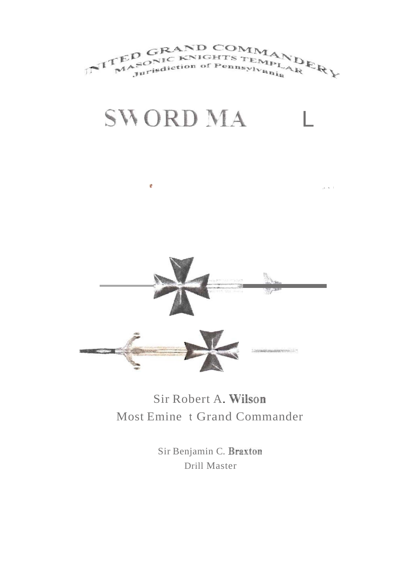

# **SWORD MA** L

é

 $\mu$  or  $\sim 1$ 



# Sir Robert A. Most Emine t Grand Commander

Sir Benjamin C. Braxton Drill Master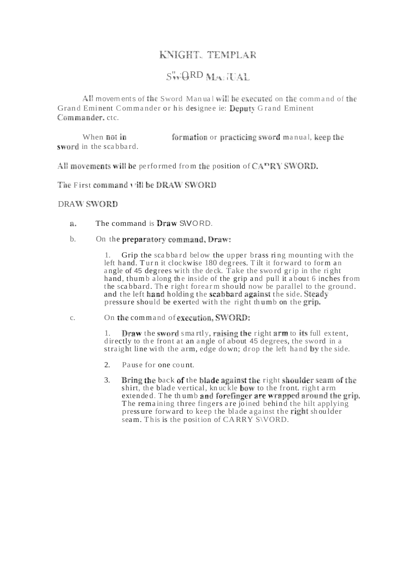# KNIGHT, TEMPLAR

# $S$ " : QRD  $M$  : TAL

All movem ents of the Sword Manual will be executed on the command of the Grand Eminent Commander or his designee ie: Deputy Grand Eminent Commander, ctc.

When not in formation or practicing sword manual, keep the sword in the scabbard.

All movements will be performed from the position of  $CAPRY SWORD$ .

The First command vill be DRAW SWORD

## DRAW SWORD

- a. The command is  $Draw$   $SVORD$ .
- b. On the preparatory command, Draw:

1. Grip the scabbard below the upper brass ring mounting with the left hand. Turn it clockwise 180 degrees. Tilt it forward to form an angle of 45 degrees with the deck. Take the sword grip in the right hand, thum b along the inside of the grip and pull it about 6 inches from the scabbard. The right forearm should now be parallel to the ground. and the left hand holding the scabbard against the side. Steady pressure should be exerted with the right thumb on the grip.

## c. On the command of execution, SWORD:

1. Draw the sword smartly, raising the right  $arm$  to its full extent, directly to the front at an angle of about 45 degrees, the sword in a straight line with the arm, edge down; drop the left hand by the side.

- 2. Pause for one count.
- 3. Bring the back of the blade against the right shoulder seam of the shirt, the blade vertical, knuckle bow to the front. right arm extended. The thumb and forefinger are wrapped around the grip. The remaining three fingers are joined behind the hilt applying press ure forward to keep the blade against the right shoulder seam. This is the position of CARRY S\VORD.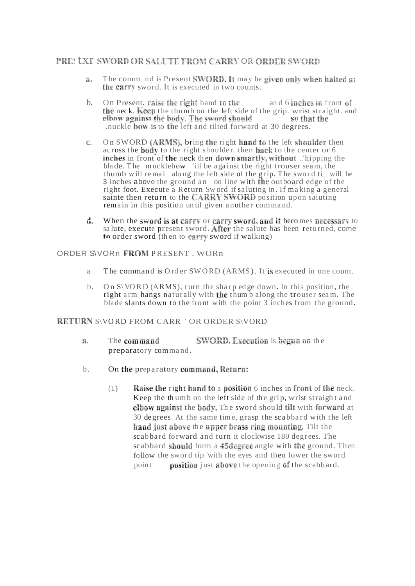## **PRE: LXT SWORD OR SALUTE FROM CARRY OR ORDER SWORD**

- The comm nd is Present SWORD. It may be given only when halted at a. the carry sword. It is executed in two counts.
- b. On Present. raise the right hand to the and 6 inches in front of the neck. Keep the thumb on the left side of the grip. wrist straight. and elbow against the body. The sword should so that the .nuckle **bow** is to the left and tilted forward at 30 degrees.
- c. On SWORD (ARMS), bring the right hand to the left shoulder then across the **body** to the right shoulder, then **back** to the center or 6 inches in front of the neck then down smartly, without lipping the bla de. The mucklebow 'ill be against the right trouser seam, the thumb will remai along the left side of the grip. The sword ti\_ will he 3 inches above the ground an on line with the outboard edge of the right foot. Execute a Return Sw ord if saluting in. If making a general sainte then return to the CARRY SWORD position upon saiuting remain in this position un til given a nother command.
- d. When the sword is at carry or carry sword, and it becomes necessary to sa lute, execute present sword. After the salute has been returned, come to order sword (then to carry sword if walking)

## ORDER S\VORn PRESENT . WORn

- a. The command is O rd er SWORD (ARMS). It is executed in one count.
- b. On  $S\ VORD$  (ARMS), turn the sharp edge down. In this position, the right arm hangs naturally with the thum b along the trouser seam. The blade slants down to the front with the point 3 inches from the ground.

## RETURN S\VORD FROM CARR ' OR ORDER S\VORD

- The command SWORD, Execution is begun on the Я. preparatory comma nd.
- b. On the preparatory command, Return:
	- $(1)$  Raise the right hand to a position 6 inches in front of the neck. Keep the thumb on the left side of the grip, wrist straight and elbow against the body. The sword should tilt with forward at 30 degrees. At the same time, grasp the scabbard with the left hand just above the upper brass ring mounting. Tilt the scabbard forward and turn it clockwise 180 degrees. The scabbard should form a 45degree angle with the ground. Then follow the sword tip 'with the eyes and then lower the sword point **position** just above the opening of the scabbard.